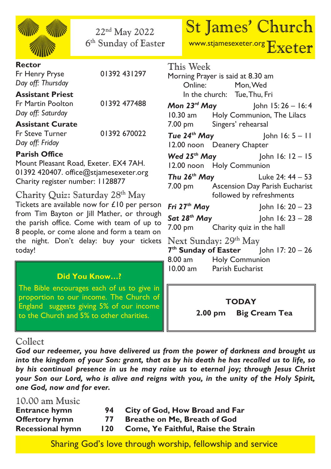| 22 <sup>nd</sup> May 2022<br>6 <sup>th</sup> Sunday of Easter                                                                                                                                                                                                                                                                                                                                                                                                                                                                |  |                                                                                                                                     | <b>St James' Church</b><br>www.stjamesexeter.org Exeter                                     |
|------------------------------------------------------------------------------------------------------------------------------------------------------------------------------------------------------------------------------------------------------------------------------------------------------------------------------------------------------------------------------------------------------------------------------------------------------------------------------------------------------------------------------|--|-------------------------------------------------------------------------------------------------------------------------------------|---------------------------------------------------------------------------------------------|
| <b>Rector</b><br>01392 431297<br>Fr Henry Pryse<br>Day off: Thursday                                                                                                                                                                                                                                                                                                                                                                                                                                                         |  | This Week<br>Morning Prayer is said at 8.30 am<br>Online: Mon, Wed                                                                  |                                                                                             |
| <b>Assistant Priest</b><br>01392 477488<br><b>Fr Martin Poolton</b><br>Day off: Saturday                                                                                                                                                                                                                                                                                                                                                                                                                                     |  | In the church: Tue, Thu, Fri                                                                                                        | <b>Mon 23rd May</b> John 15:26 - 16:4<br>10.30 am Holy Communion, The Lilacs                |
| <b>Assistant Curate</b><br>01392 670022<br>Fr Steve Turner<br>Day off: Friday                                                                                                                                                                                                                                                                                                                                                                                                                                                |  | 7.00 pm Singers' rehearsal<br>12.00 noon Deanery Chapter                                                                            | <b>Tue 24<sup>th</sup> May</b> John 16: $5 - 11$                                            |
| <b>Parish Office</b><br>Mount Pleasant Road, Exeter. EX4 7AH.<br>01392 420407. office@stjamesexeter.org                                                                                                                                                                                                                                                                                                                                                                                                                      |  | 12.00 noon Holy Communion                                                                                                           | <b>Wed 25th May</b> John 16: $12 - 15$<br><b>Thu 26<sup>th</sup> May</b> Luke 24: $44 - 53$ |
| Charity register number: 1128877<br>Charity Quiz: Saturday 28th May<br>Tickets are available now for £10 per person<br>from Tim Bayton or Jill Mather, or through<br>the parish office. Come with team of up to<br>8 people, or come alone and form a team on<br>the night. Don't delay: buy your tickets<br>today!<br><b>Did You Know?</b><br>The Bible encourages each of us to give in<br>proportion to our income. The Church of<br>England suggests giving 5% of our income<br>to the Church and 5% to other charities. |  |                                                                                                                                     | 7.00 pm Ascension Day Parish Eucharist<br>followed by refreshments                          |
|                                                                                                                                                                                                                                                                                                                                                                                                                                                                                                                              |  | 7.00 pm Charity quiz in the hall                                                                                                    | Fri $27th$ May $\vert$ ohn 16: 20 - 23<br><b>Sat 28th May</b> John 16: $23 - 28$            |
|                                                                                                                                                                                                                                                                                                                                                                                                                                                                                                                              |  | Next Sunday: 29 <sup>th</sup> May<br>$7th$ Sunday of Easter John 17: 20 - 26<br>8.00 am Holy Communion<br>10.00 am Parish Eucharist |                                                                                             |
|                                                                                                                                                                                                                                                                                                                                                                                                                                                                                                                              |  |                                                                                                                                     |                                                                                             |
|                                                                                                                                                                                                                                                                                                                                                                                                                                                                                                                              |  | $2.00 \text{ pm}$                                                                                                                   | <b>Big Cream Tea</b>                                                                        |

## Collect

*God our redeemer, you have delivered us from the power of darkness and brought us into the kingdom of your Son: grant, that as by his death he has recalled us to life, so by his continual presence in us he may raise us to eternal joy; through Jesus Christ your Son our Lord, who is alive and reigns with you, in the unity of the Holy Spirit, one God, now and for ever.*

| 10.00 am Music          |     |                                     |
|-------------------------|-----|-------------------------------------|
| <b>Entrance hymn</b>    | 94  | City of God, How Broad and Far      |
| <b>Offertory hymn</b>   | 77  | Breathe on Me, Breath of God        |
| <b>Recessional hymn</b> | 120 | Come, Ye Faithful, Raise the Strain |

Sharing God's love through worship, fellowship and service